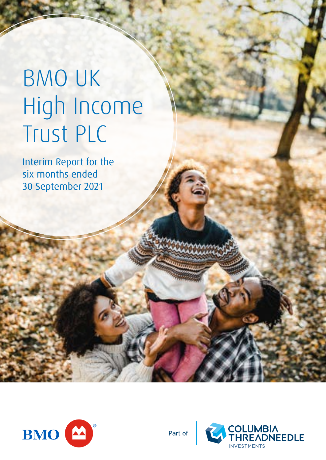# BMO UK High Income Trust PLC

Interim Report for the six months ended 30 September 2021



Part of

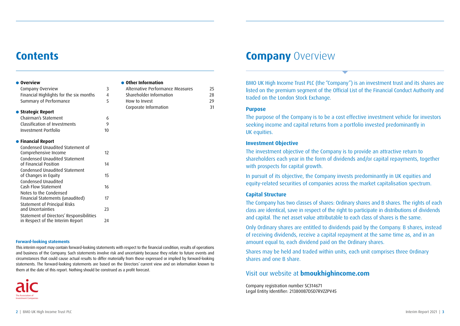### **Contents**

| $\bullet$ Overview                          |    |
|---------------------------------------------|----|
| Company Overview                            | 3  |
| Financial Highlights for the six months     | 4  |
| Summary of Performance                      | 5  |
| $\bullet$ Strategic Report                  |    |
| Chairman's Statement                        | 6  |
| Classification of Investments               | 9  |
| Investment Portfolio                        | 10 |
|                                             |    |
| <b>Financial Report</b><br>$\bullet$        |    |
| Condensed Unaudited Statement of            |    |
| Comprehensive Income                        | 17 |
| Condensed Unaudited Statement               |    |
| of Financial Position                       | 14 |
| Condensed Unaudited Statement               | 15 |
| of Changes in Equity<br>Condensed Unaudited |    |
| Cash Flow Statement                         | 16 |
| Notes to the Condensed                      |    |
| Financial Statements (unaudited)            | 17 |
| Statement of Principal Risks                |    |
| and Uncertainties                           | 23 |
| Statement of Directors' Responsibilities    |    |
| in Respect of the Interim Report            | 24 |
|                                             |    |

#### **Forward-looking statements**

This interim report may contain forward-looking statements with respect to the financial condition, results of operations and business of the Company. Such statements involve risk and uncertainty because they relate to future events and circumstances that could cause actual results to differ materially from those expressed or implied by forward-looking statements. The forward-looking statements are based on the Directors' current view and on information known to them at the date of this report. Nothing should be construed as a profit forecast.



### **• Other Information**

| Alternative Performance Measures | 25. |
|----------------------------------|-----|
| Shareholder Information          | 28  |
| How to Invest                    | 29  |
| Corporate Information            | 31  |

### **Company Overview**

BMO UK High Income Trust PLC (the "Company") is an investment trust and its shares are listed on the premium segment of the Official List of the Financial Conduct Authority and traded on the London Stock Exchange.

#### **Purpose**

The purpose of the Company is to be a cost effective investment vehicle for investors seeking income and capital returns from a portfolio invested predominantly in UK equities.

#### **Investment Objective**

The investment objective of the Company is to provide an attractive return to shareholders each year in the form of dividends and/or capital repayments, together with prospects for capital growth.

In pursuit of its objective, the Company invests predominantly in UK equities and equity-related securities of companies across the market capitalisation spectrum.

#### **Capital Structure**

The Company has two classes of shares: Ordinary shares and B shares. The rights of each class are identical, save in respect of the right to participate in distributions of dividends and capital. The net asset value attributable to each class of shares is the same.

Only Ordinary shares are entitled to dividends paid by the Company. B shares, instead of receiving dividends, receive a capital repayment at the same time as, and in an amount equal to, each dividend paid on the Ordinary shares.

Shares may be held and traded within units, each unit comprises three Ordinary shares and one B share.

#### Visit our website at **bmoukhighincome.com**

Company registration number SC314671 Legal Entity Identifier: 213800B7D5D7RVZZPV45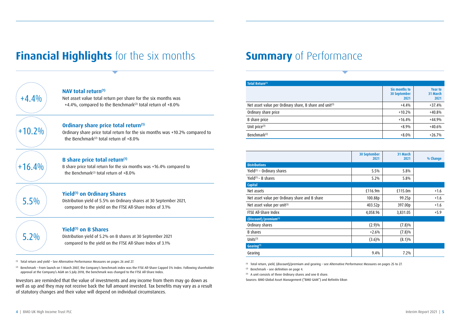### **Financial Highlights** for the six months

### **Summary** of Performance

| Total Return <sup>(1)</sup>                             |                                       |                                    |
|---------------------------------------------------------|---------------------------------------|------------------------------------|
|                                                         | Six months to<br>30 September<br>2021 | <b>Year to</b><br>31 March<br>2021 |
| Net asset value per Ordinary share, B share and unit(3) | $+4.4%$                               | $+37.4%$                           |
| Ordinary share price                                    | $+10.2%$                              | $+40.8%$                           |
| B share price                                           | $+16.4%$                              | $+44.9%$                           |
| Unit price <sup>(3)</sup>                               | $+8.9%$                               | $+40.6%$                           |
| Benchmark <sup>(2)</sup>                                | $+8.0%$                               | $+26.7%$                           |

|                                                | <b>30 September</b><br>2021 | 31 March<br>2021 | % Change |
|------------------------------------------------|-----------------------------|------------------|----------|
| <b>Distributions</b>                           |                             |                  |          |
| Yield <sup>(1)</sup> - Ordinary shares         | 5.5%                        | 5.8%             |          |
| Yield $(1)$ – B shares                         | 5.2%                        | 5.8%             |          |
| Capital                                        |                             |                  |          |
| Net assets                                     | £116.9m                     | £115.0m          | $+1.6$   |
| Net asset value per Ordinary share and B share | 100.88p                     | 99.25p           | $+1.6$   |
| Net asset value per unit(3)                    | 403.52p                     | 397.00p          | $+1.6$   |
| FTSE All-Share Index                           | 4,058.96                    | 3,831.05         | $+5.9$   |
| (Discount)/premium(1)                          |                             |                  |          |
| Ordinary shares                                | (2.9)%                      | (7.8)%           |          |
| <b>B</b> shares                                | $+2.6%$                     | (7.8)%           |          |
| Units $(3)$                                    | $(3.6)\%$                   | $(8.1)\%$        |          |
| Gearing <sup>(1)</sup>                         |                             |                  |          |
| Gearing                                        | 9.4%                        | 7.2%             |          |

(1) Total return, yield, (discount)/premium and gearing – see Alternative Performance Measures on pages 25 to 27.

(2) Benchmark – see definition on page 4.

(3) A unit consists of three Ordinary shares and one B share.

Sources: BMO Global Asset Management ("BMO GAM") and Refinitiv Eikon

| $+4.4%$  | NA\<br>Net<br>$+4.$       |
|----------|---------------------------|
| $+10.2%$ | <b>Ord</b><br>Ordi<br>the |
| $+16.4%$ | B sl<br>B shi<br>the      |
| 5.5%     | Yiel<br>Distr<br>con      |

#### **NAV total return(1)**

asset value total return per share for the six months was 4%, compared to the Benchmark<sup>(2)</sup> total return of  $+8.0\%$ 

 $\left(1+10.2\% \right)$  **Ordinary share price total return**<sup>(1)</sup><br> $+10.2\%$  compared to Benchmark<sup>(2)</sup> total return of  $+8.0\%$ 

#### **hare price total return(1)**

are price total return for the six months was +16.4% compared to Benchmark<sup>(2)</sup> total return of  $+8.0\%$ 

#### **Yield(1) on Ordinary Shares**

ibution yield of 5.5% on Ordinary shares at 30 September 2021, mpared to the yield on the FTSE All-Share Index of 3.1%

#### **Yield(1) on B Shares**

Distribution yield of 5.2% on B shares at 30 September 2021 compared to the yield on the FTSE All-Share Index of 3.1%

(1) Total return and yield – See Alternative Performance Measures on pages 26 and 27.

(2) Benchmark – From launch on 1 March 2007, the Company's benchmark index was the FTSE All-Share Capped 5% Index. Following shareholder approval at the Company's AGM on 5 July 2018, the benchmark was changed to the FTSE All-Share Index.

Investors are reminded that the value of investments and any income from them may go down as well as up and they may not receive back the full amount invested. Tax benefits may vary as a result of statutory changes and their value will depend on individual circumstances.

5.2%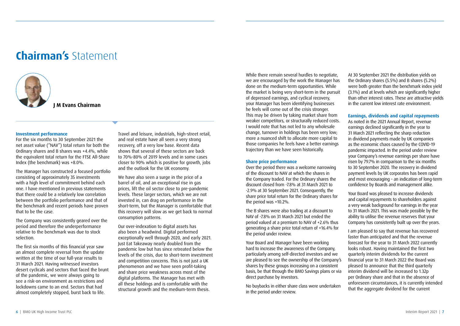### **Chairman's** Statement



**J M Evans Chairman**

#### **Investment performance**

For the six months to 30 September 2021 the net asset value ("NAV") total return for both the Ordinary shares and B shares was +4.4%, while the equivalent total return for the FTSE All-Share Index (the benchmark) was +8.0%.

The Manager has constructed a focused portfolio consisting of approximately 35 investments with a high level of commitment behind each one. I have mentioned in previous statements that there could be a relatively low correlation between the portfolio performance and that of the benchmark and recent periods have proven that to be the case.

The Company was consistently geared over the period and therefore the underperformance relative to the benchmark was due to stock selection.

The first six months of this financial year saw an almost complete reversal from the update written at the time of our full-year results to 31 March 2021. Having witnessed investors desert cyclicals and sectors that faced the brunt of the pandemic, we were always going to see a risk-on environment as restrictions and lockdowns came to an end. Sectors that had almost completely stopped, burst back to life.

Travel and leisure, industrials, high-street retail, and real estate have all seen a very strong recovery, off a very low base. Recent data shows that several of these sectors are back to 70%-80% of 2019 levels and in some cases closer to 90% which is positive for growth, jobs and the outlook for the UK economy.

We have also seen a surge in the price of a barrel of oil, and an exceptional rise in gas prices, lift the oil sector close to pre-pandemic levels. These larger sectors, which we are not invested in, can drag on performance in the short-term, but the Manager is comfortable that this recovery will slow as we get back to normal consumption patterns.

Our over-indexation to digital assets has also been a headwind. Digital performed exceptionally well through 2020, and early 2021. Just Eat Takeaway nearly doubled from the pandemic low but has since retreated below the levels of the crisis, due to short-term investment and competition concerns. This is not just a UK phenomenon and we have seen profit-taking and share price weakness across most of the digital platforms. The Manager has met with all these holdings and is comfortable with the structural growth and the medium-term thesis.

While there remain several hurdles to negotiate, we are encouraged by the work the Manager has done on the medium-term opportunities. While the market is being very short-term in the pursuit of depressed earnings, and cyclical recovery, your Manager has been identifying businesses he feels will come out of the crisis stronger. This may be driven by taking market share from weaker competitors, or structurally reduced costs. I would note that has not led to any wholesale change, turnover in holdings has been very low; more a nuanced shift to allocate more capital to those companies he feels have a better earnings trajectory than we have seen historically.

#### **Share price performance**

Over the period there was a welcome narrowing of the discount to NAV at which the shares in the Company traded. For the Ordinary shares the discount closed from -7.8% at 31 March 2021 to -2.9% at 30 September 2021. Consequently, the share price total return for the Ordinary shares for the period was +10.2%.

The B shares were also trading at a discount to NAV of -7.8% on 31 March 2021 but ended the period valued at a premium to NAV of +2.6% thus generating a share price total return of +16.4% for the period under review.

Your Board and Manager have been working hard to increase the awareness of the Company, particularly among self-directed investors and we are pleased to see the ownership of the Company's shares by these groups increasing on a consistent basis, be that through the BMO Savings plans or via direct purchase by investors.

No buybacks in either share class were undertaken in the period under review.

At 30 September 2021 the distribution yields on the Ordinary shares (5.5%) and B shares (5.2%) were both greater than the benchmark index yield (3.1%) and at levels which are significantly higher than other interest rates. These are attractive yields in the current low interest rate environment.

#### **Earnings, dividends and capital repayments**

As noted in the 2021 Annual Report, revenue earnings declined significantly in the year to 31 March 2021 reflecting the sharp reduction in dividend payments made by UK companies as the economic chaos caused by the COVID-19 pandemic impacted. In the period under review your Company's revenue earnings per share have risen by 79.7% in comparison to the six months to 30 September 2020. The recovery in dividend payment levels by UK corporates has been rapid and most encouraging – an indication of long-term confidence by Boards and management alike.

Your Board was pleased to increase dividends and capital repayments to shareholders against a very weak background for earnings in the year to 31 March 2021. This was made possible by the ability to utilise the revenue reserves that your Company has consistently built up over the years.

I am pleased to say that revenue has recovered faster than anticipated and that the revenue forecast for the year to 31 March 2022 currently looks robust. Having maintained the first two quarterly interim dividends for the current financial year to 31 March 2022 the Board was pleased to announce that the third quarterly interim dividend will be increased to 1.32p per Ordinary share and that in the absence of unforeseen circumstances, it is currently intended that the aggregate dividend for the current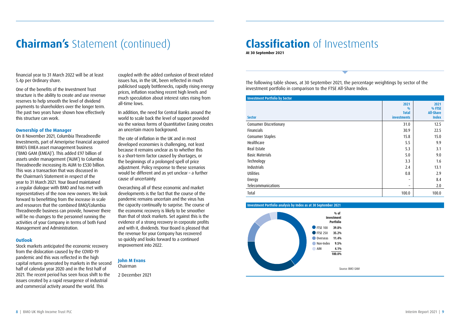## **Chairman's** Statement (continued)

financial year to 31 March 2022 will be at least 5.4p per Ordinary share.

One of the benefits of the Investment Trust structure is the ability to create and use revenue reserves to help smooth the level of dividend payments to shareholders over the longer term. The past two years have shown how effectively this structure can work.

#### **Ownership of the Manager**

On 8 November 2021, Columbia Threadneedle Investments, part of Ameriprise Financial acquired BMO's EMEA asset management business ('BMO GAM (EMEA)'). This added £97 billion of assets under management ('AUM') to Columbia Threadneedle increasing its AUM to £530 billion. This was a transaction that was discussed in the Chairman's Statement in respect of the year to 31 March 2021. Your Board maintained a regular dialogue with BMO and has met with representatives of the now new owners. We look forward to benefitting from the increase in scale and resources that the combined BMO/Columbia Threadneedle business can provide, however there will be no changes to the personnel running the activities of your Company in terms of both Fund Management and Administration.

#### **Outlook**

Stock markets anticipated the economic recovery from the dislocation caused by the COVID-19 pandemic and this was reflected in the high capital returns generated by markets in the second half of calendar year 2020 and in the first half of 2021. The recent period has seen focus shift to the issues created by a rapid resurgence of industrial and commercial activity around the world. This

coupled with the added confusion of Brexit related issues has, in the UK, been reflected in much publicised supply bottlenecks, rapidly rising energy prices, inflation reaching recent high levels and much speculation about interest rates rising from all-time lows.

In addition, the need for Central Banks around the world to scale back the level of support provided via the various forms of Quantitative Easing creates an uncertain macro background.

The rate of inflation in the UK and in most developed economies is challenging, not least because it remains unclear as to whether this is a short-term factor caused by shortages, or the beginnings of a prolonged spell of price adjustment. Policy response to these scenarios would be different and as yet unclear – a further cause of uncertainty.

Overarching all of these economic and market developments is the fact that the course of the pandemic remains uncertain and the virus has the capacity continually to surprise. The course of the economic recovery is likely to be smoother than that of stock markets. Set against this is the evidence of a strong recovery in corporate profits and with it, dividends. Your Board is pleased that the revenue for your Company has recovered so quickly and looks forward to a continued improvement into 2022.

#### **John M Evans**

Chairman

2 December 2021

### **Classification** of Investments

**At 30 September 2021**

The following table shows, at 30 September 2021, the percentage weightings by sector of the investment portfolio in comparison to the FTSE All-Share Index.

| <b>Investment Portfolio by Sector</b> |                                                   |                                                    |
|---------------------------------------|---------------------------------------------------|----------------------------------------------------|
| <b>Sector</b>                         | 2021<br>0/0<br><b>Total</b><br><b>investments</b> | 2021<br>% FTSE<br><b>All-Share</b><br><b>Index</b> |
| <b>Consumer Discretionary</b>         | 31.0                                              | 12.5                                               |
| <b>Financials</b>                     | 30.9                                              | 22.5                                               |
| Consumer Staples                      | 15.8                                              | 15.0                                               |
| Healthcare                            | 5.5                                               | 9.9                                                |
| Real Estate                           | 5.3                                               | 3.1                                                |
| <b>Basic Materials</b>                | 5.0                                               | 9.0                                                |
| Technology                            | 3.3                                               | 1.6                                                |
| Industrials                           | 2.4                                               | 13.1                                               |
| <b>Utilities</b>                      | 0.8                                               | 2.9                                                |
| Energy                                | -                                                 | 8.4                                                |
| Telecommunications                    | -                                                 | 2.0                                                |
| Total                                 | 100.0                                             | 100.0                                              |

#### **Investment Portfolio analysis by Index as at 30 September 2021**

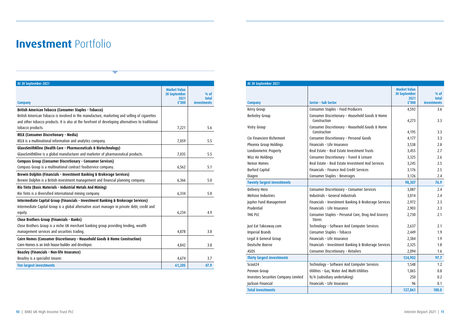### **Investment Portfolio**

| At 30 September 2021                                                                              |                                                             |                                       |
|---------------------------------------------------------------------------------------------------|-------------------------------------------------------------|---------------------------------------|
| <b>Company</b>                                                                                    | <b>Market Value</b><br><b>30 September</b><br>2021<br>£'000 | $%$ of<br>total<br><b>investments</b> |
| British American Tobacco (Consumer Staples - Tobacco)                                             |                                                             |                                       |
| British American Tobacco is involved in the manufacture, marketing and selling of cigarettes      |                                                             |                                       |
| and other tobacco products. It is also at the forefront of developing alternatives to traditional |                                                             |                                       |
| tobacco products.                                                                                 | 7,221                                                       | 5.6                                   |
| RELX (Consumer Discretionary - Media)                                                             |                                                             |                                       |
| RELX is a multinational information and analytics company.                                        | 7,059                                                       | 5.5                                   |
| GlaxoSmithKline (Health Care - Pharmaceuticals & Biotechnology)                                   |                                                             |                                       |
| GlaxoSmithKline is a global manufacturer and marketer of pharmaceutical products.                 | 7,035                                                       | 5.5                                   |
| Compass Group (Consumer Discretionary - Consumer Services)                                        |                                                             |                                       |
| Compass Group is a multinational contract foodservice company.                                    | 6,562                                                       | 5.1                                   |
| Brewin Dolphin (Financials - Investment Banking & Brokerage Services)                             |                                                             |                                       |
| Brewin Dolphin is a British investment management and financial planning company.                 | 6,366                                                       | 5.0                                   |
| Rio Tinto (Basic Materials - Industrial Metals And Mining)                                        |                                                             |                                       |
| Rio Tinto is a diversified international mining company.                                          | 6,334                                                       | 5.0                                   |
| Intermediate Capital Group (Financials - Investment Banking & Brokerage Services)                 |                                                             |                                       |
| Intermediate Capital Group is a global alternative asset manager in private debt, credit and      |                                                             |                                       |
| equity.                                                                                           | 6,234                                                       | 4.9                                   |
| Close Brothers Group (Financials - Banks)                                                         |                                                             |                                       |
| Close Brothers Group is a niche UK merchant banking group providing lending, wealth               |                                                             |                                       |
| management services and securities trading.                                                       | 4,878                                                       | 3.8                                   |
| Cairn Homes (Consumer Discretionary - Household Goods & Home Construction)                        |                                                             |                                       |
| Cairn Homes is an Irish house-builder and developer.                                              | 4,842                                                       | 3.8                                   |
| Beazley (Financials - Non-life Insurance)                                                         |                                                             |                                       |
| Beazley is a specialist insurer.                                                                  | 4,674                                                       | 3.7                                   |
| <b>Ten largest investments</b>                                                                    | 61,205                                                      | 47.9                                  |

| At 30 September 2021                        |                                                                 |                             |                    |
|---------------------------------------------|-----------------------------------------------------------------|-----------------------------|--------------------|
|                                             |                                                                 | <b>Market Value</b>         |                    |
|                                             |                                                                 | <b>30 September</b><br>2021 | % of<br>total      |
| <b>Company</b>                              | Sector - Sub Sector                                             | £'000                       | <b>investments</b> |
| Kerry Group                                 | Consumer Staples - Food Producers                               | 4,592                       | 3.6                |
| Berkeley Group                              | Consumer Discretionary - Household Goods & Home<br>Construction | 4,273                       | 3.3                |
| Vistry Group                                | Consumer Discretionary - Household Goods & Home<br>Construction | 4,195                       | 3.3                |
| Cie Financiere Richemont                    | Consumer Discretionary - Personal Goods                         | 4,177                       | 3.3                |
| Phoenix Group Holdings                      | Financials - Life Insurance                                     | 3,538                       | 2.8                |
| Londonmetric Property                       | Real Estate - Real Estate Investment Trusts                     | 3,455                       | 2.7                |
| Wizz Air Holdings                           | Consumer Discretionary - Travel & Leisure                       | 3,325                       | 2.6                |
| <b>Neinor Homes</b>                         | Real Estate - Real Estate Investment And Services               | 3,245                       | 2.5                |
| <b>Burford Capital</b>                      | Financials - Finance And Credit Services                        | 3,176                       | 2.5                |
| Diageo                                      | Consumer Staples - Beverages                                    | 3,126                       | 2.4                |
| <b>Twenty largest investments</b>           |                                                                 | 98,307                      | 76.9               |
| <b>Delivery Hero</b>                        | Consumer Discretionary - Consumer Services                      | 3,087                       | 2.4                |
| Melrose Industries                          | Industrials - General Industrials                               | 3,014                       | 2.4                |
| Jupiter Fund Management                     | Financials - Investment Banking & Brokerage Services            | 2,972                       | 2.3                |
| Prudential                                  | Financials - Life Insurance                                     | 2,903                       | 2.3                |
| THG PLC                                     | Consumer Staples - Personal Care, Drug And Grocery<br>Stores    | 2,730                       | 2.1                |
| Just Eat Takeaway.com                       | Technology - Software And Computer Services                     | 2,637                       | 2.1                |
| <b>Imperial Brands</b>                      | Consumer Staples - Tobacco                                      | 2,449                       | 1.9                |
| Legal & General Group                       | Financials - Life Insurance                                     | 2,384                       | 1.9                |
| Deutsche Boerse                             | Financials - Investment Banking & Brokerage Services            | 2,325                       | 1.8                |
| ASOS                                        | Consumer Discretionary - Retailers                              | 2,094                       | 1.6                |
| <b>Thirty largest investments</b>           |                                                                 | 124,902                     | 97.7               |
| Scout <sub>24</sub>                         | Technology - Software And Computer Services                     | 1,548                       | 1.2                |
| Pennon Group                                | Utilities - Gas, Water And Multi-Utilities                      | 1,065                       | 0.8                |
| <b>Investors Securities Company Limited</b> | N/A (subsidiary undertaking)                                    | 250                         | 0.2                |
| lackson Financial                           | Financials - Life Insurance                                     | 96                          | 0.1                |
| <b>Total investments</b>                    |                                                                 | 127.861                     | 100.0              |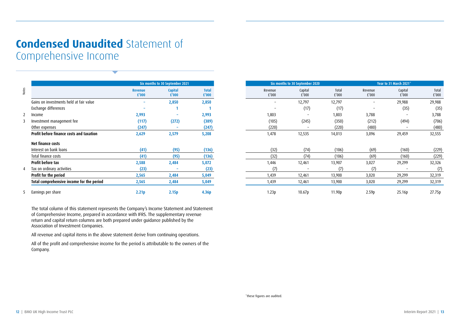### **Condensed Unaudited** Statement of Comprehensive Income

|                                                 |                         | Six months to 30 September 2021 |                       |
|-------------------------------------------------|-------------------------|---------------------------------|-----------------------|
|                                                 | <b>Revenue</b><br>£'000 | <b>Capital</b><br>£'000         | <b>Total</b><br>£'000 |
| Gains on investments held at fair value         |                         | 2,850                           | 2,850                 |
| Exchange differences                            |                         |                                 |                       |
| Income                                          | 2,993                   |                                 | 2,993                 |
| Investment management fee                       | (117)                   | (272)                           | (389)                 |
| Other expenses                                  | (247)                   |                                 | (247)                 |
| <b>Profit before finance costs and taxation</b> | 2,629                   | 2,579                           | 5,208                 |
| Net finance costs                               |                         |                                 |                       |
| Interest on bank loans                          | (41)                    | (95)                            | (136)                 |
| Total finance costs                             | (41)                    | (95)                            | (136)                 |
| <b>Profit before tax</b>                        | 2,588                   | 2,484                           | 5,072                 |
| Tax on ordinary activities                      | (23)                    |                                 | (23)                  |
| Profit for the period                           | 2,565                   | 2,484                           |                       |
|                                                 |                         |                                 | 5,049                 |
| Total comprehensive income for the period       | 2,565                   | 2,484                           | 5,049                 |

| Notes<br><b>Capital</b><br><b>Total</b><br>Revenue<br>Capital<br>Total<br>Revenue<br>Capital<br><b>Revenue</b><br>$\dot{f}$ '000<br>$E'$ 000<br>£'000<br>f'000<br>£'000<br>£'000<br>£'000<br>£'000<br>Gains on investments held at fair value<br>2,850<br>2,850<br>12,797<br>12,797<br>29,988<br>$\equiv$<br>$\overline{\phantom{a}}$<br>$\overline{\phantom{a}}$<br>Exchange differences<br>(17)<br>(35)<br>(17)<br>1<br>2,993<br>2,993<br>1,803<br>1,803<br>3,788<br>Income<br>$\sim$<br>$\mathbf{2}$<br>$\overline{\phantom{a}}$<br>$\overline{\phantom{a}}$<br>Investment management fee<br>(117)<br>(272)<br>(389)<br>(245)<br>(350)<br>(212)<br>(494)<br>3<br>(105)<br>(247)<br>(247)<br>(220)<br>(220)<br>(480)<br>Other expenses<br>Profit before finance costs and taxation<br>2,629<br>2,579<br>5,208<br>1,478<br>12,535<br>14,013<br>3,096<br>29,459<br>Net finance costs<br>Interest on bank loans<br>(41)<br>(95)<br>(136)<br>(32)<br>(74)<br>(106)<br>(160)<br>(69)<br>(32)<br>(41)<br>(95)<br>(74)<br>(69)<br>Total finance costs<br>(136)<br>(106)<br>(160)<br><b>Profit before tax</b><br>2,484<br>2,588<br>5,072<br>1,446<br>12,461<br>13,907<br>3,027<br>29,299<br>(23)<br>(7)<br>Tax on ordinary activities<br>(23)<br>(7)<br>(7)<br>4<br>Profit for the period<br>2,565<br>2,484<br>3,020<br>29,299<br>5,049<br>1,439<br>12,461<br>13,900<br>Total comprehensive income for the period<br>2,565<br>2,484<br>1,439<br>3,020<br>29,299<br>5,049<br>12,461<br>13,900<br>Earnings per share<br>1.23p<br>10.67p<br>2.21p<br>2.15p<br>4.36p<br>11.90p<br>2.59p<br>25.16p<br>5<br>The total column of this statement represents the Company's Income Statement and Statement<br>of Comprehensive Income, prepared in accordance with IFRS. The supplementary revenue<br>return and capital return columns are both prepared under guidance published by the<br>Association of Investment Companies.<br>All revenue and capital items in the above statement derive from continuing operations.<br>All of the profit and comprehensive income for the period is attributable to the owners of the<br>Company. |  | Six months to 30 September 2021 |  | Six months to 30 September 2020 |  | Year to 31 March 2021" |                                        |
|----------------------------------------------------------------------------------------------------------------------------------------------------------------------------------------------------------------------------------------------------------------------------------------------------------------------------------------------------------------------------------------------------------------------------------------------------------------------------------------------------------------------------------------------------------------------------------------------------------------------------------------------------------------------------------------------------------------------------------------------------------------------------------------------------------------------------------------------------------------------------------------------------------------------------------------------------------------------------------------------------------------------------------------------------------------------------------------------------------------------------------------------------------------------------------------------------------------------------------------------------------------------------------------------------------------------------------------------------------------------------------------------------------------------------------------------------------------------------------------------------------------------------------------------------------------------------------------------------------------------------------------------------------------------------------------------------------------------------------------------------------------------------------------------------------------------------------------------------------------------------------------------------------------------------------------------------------------------------------------------------------------------------------------------------------------------------------------------------------------------------|--|---------------------------------|--|---------------------------------|--|------------------------|----------------------------------------|
|                                                                                                                                                                                                                                                                                                                                                                                                                                                                                                                                                                                                                                                                                                                                                                                                                                                                                                                                                                                                                                                                                                                                                                                                                                                                                                                                                                                                                                                                                                                                                                                                                                                                                                                                                                                                                                                                                                                                                                                                                                                                                                                            |  |                                 |  |                                 |  |                        | Total<br>$\boldsymbol{\mathsf{E}}'000$ |
|                                                                                                                                                                                                                                                                                                                                                                                                                                                                                                                                                                                                                                                                                                                                                                                                                                                                                                                                                                                                                                                                                                                                                                                                                                                                                                                                                                                                                                                                                                                                                                                                                                                                                                                                                                                                                                                                                                                                                                                                                                                                                                                            |  |                                 |  |                                 |  |                        | 29,988                                 |
|                                                                                                                                                                                                                                                                                                                                                                                                                                                                                                                                                                                                                                                                                                                                                                                                                                                                                                                                                                                                                                                                                                                                                                                                                                                                                                                                                                                                                                                                                                                                                                                                                                                                                                                                                                                                                                                                                                                                                                                                                                                                                                                            |  |                                 |  |                                 |  |                        | (35)                                   |
|                                                                                                                                                                                                                                                                                                                                                                                                                                                                                                                                                                                                                                                                                                                                                                                                                                                                                                                                                                                                                                                                                                                                                                                                                                                                                                                                                                                                                                                                                                                                                                                                                                                                                                                                                                                                                                                                                                                                                                                                                                                                                                                            |  |                                 |  |                                 |  |                        | 3,788                                  |
|                                                                                                                                                                                                                                                                                                                                                                                                                                                                                                                                                                                                                                                                                                                                                                                                                                                                                                                                                                                                                                                                                                                                                                                                                                                                                                                                                                                                                                                                                                                                                                                                                                                                                                                                                                                                                                                                                                                                                                                                                                                                                                                            |  |                                 |  |                                 |  |                        | (706)                                  |
|                                                                                                                                                                                                                                                                                                                                                                                                                                                                                                                                                                                                                                                                                                                                                                                                                                                                                                                                                                                                                                                                                                                                                                                                                                                                                                                                                                                                                                                                                                                                                                                                                                                                                                                                                                                                                                                                                                                                                                                                                                                                                                                            |  |                                 |  |                                 |  |                        | (480)                                  |
|                                                                                                                                                                                                                                                                                                                                                                                                                                                                                                                                                                                                                                                                                                                                                                                                                                                                                                                                                                                                                                                                                                                                                                                                                                                                                                                                                                                                                                                                                                                                                                                                                                                                                                                                                                                                                                                                                                                                                                                                                                                                                                                            |  |                                 |  |                                 |  |                        | 32,555                                 |
|                                                                                                                                                                                                                                                                                                                                                                                                                                                                                                                                                                                                                                                                                                                                                                                                                                                                                                                                                                                                                                                                                                                                                                                                                                                                                                                                                                                                                                                                                                                                                                                                                                                                                                                                                                                                                                                                                                                                                                                                                                                                                                                            |  |                                 |  |                                 |  |                        |                                        |
|                                                                                                                                                                                                                                                                                                                                                                                                                                                                                                                                                                                                                                                                                                                                                                                                                                                                                                                                                                                                                                                                                                                                                                                                                                                                                                                                                                                                                                                                                                                                                                                                                                                                                                                                                                                                                                                                                                                                                                                                                                                                                                                            |  |                                 |  |                                 |  |                        | (229)                                  |
|                                                                                                                                                                                                                                                                                                                                                                                                                                                                                                                                                                                                                                                                                                                                                                                                                                                                                                                                                                                                                                                                                                                                                                                                                                                                                                                                                                                                                                                                                                                                                                                                                                                                                                                                                                                                                                                                                                                                                                                                                                                                                                                            |  |                                 |  |                                 |  |                        | (229)                                  |
|                                                                                                                                                                                                                                                                                                                                                                                                                                                                                                                                                                                                                                                                                                                                                                                                                                                                                                                                                                                                                                                                                                                                                                                                                                                                                                                                                                                                                                                                                                                                                                                                                                                                                                                                                                                                                                                                                                                                                                                                                                                                                                                            |  |                                 |  |                                 |  |                        | 32,326                                 |
|                                                                                                                                                                                                                                                                                                                                                                                                                                                                                                                                                                                                                                                                                                                                                                                                                                                                                                                                                                                                                                                                                                                                                                                                                                                                                                                                                                                                                                                                                                                                                                                                                                                                                                                                                                                                                                                                                                                                                                                                                                                                                                                            |  |                                 |  |                                 |  |                        | (7)                                    |
|                                                                                                                                                                                                                                                                                                                                                                                                                                                                                                                                                                                                                                                                                                                                                                                                                                                                                                                                                                                                                                                                                                                                                                                                                                                                                                                                                                                                                                                                                                                                                                                                                                                                                                                                                                                                                                                                                                                                                                                                                                                                                                                            |  |                                 |  |                                 |  |                        | 32,319                                 |
|                                                                                                                                                                                                                                                                                                                                                                                                                                                                                                                                                                                                                                                                                                                                                                                                                                                                                                                                                                                                                                                                                                                                                                                                                                                                                                                                                                                                                                                                                                                                                                                                                                                                                                                                                                                                                                                                                                                                                                                                                                                                                                                            |  |                                 |  |                                 |  |                        | 32,319                                 |
|                                                                                                                                                                                                                                                                                                                                                                                                                                                                                                                                                                                                                                                                                                                                                                                                                                                                                                                                                                                                                                                                                                                                                                                                                                                                                                                                                                                                                                                                                                                                                                                                                                                                                                                                                                                                                                                                                                                                                                                                                                                                                                                            |  |                                 |  |                                 |  |                        | 27.75p                                 |
|                                                                                                                                                                                                                                                                                                                                                                                                                                                                                                                                                                                                                                                                                                                                                                                                                                                                                                                                                                                                                                                                                                                                                                                                                                                                                                                                                                                                                                                                                                                                                                                                                                                                                                                                                                                                                                                                                                                                                                                                                                                                                                                            |  |                                 |  |                                 |  |                        |                                        |
|                                                                                                                                                                                                                                                                                                                                                                                                                                                                                                                                                                                                                                                                                                                                                                                                                                                                                                                                                                                                                                                                                                                                                                                                                                                                                                                                                                                                                                                                                                                                                                                                                                                                                                                                                                                                                                                                                                                                                                                                                                                                                                                            |  |                                 |  |                                 |  |                        |                                        |
|                                                                                                                                                                                                                                                                                                                                                                                                                                                                                                                                                                                                                                                                                                                                                                                                                                                                                                                                                                                                                                                                                                                                                                                                                                                                                                                                                                                                                                                                                                                                                                                                                                                                                                                                                                                                                                                                                                                                                                                                                                                                                                                            |  |                                 |  |                                 |  |                        |                                        |
|                                                                                                                                                                                                                                                                                                                                                                                                                                                                                                                                                                                                                                                                                                                                                                                                                                                                                                                                                                                                                                                                                                                                                                                                                                                                                                                                                                                                                                                                                                                                                                                                                                                                                                                                                                                                                                                                                                                                                                                                                                                                                                                            |  |                                 |  |                                 |  |                        |                                        |
|                                                                                                                                                                                                                                                                                                                                                                                                                                                                                                                                                                                                                                                                                                                                                                                                                                                                                                                                                                                                                                                                                                                                                                                                                                                                                                                                                                                                                                                                                                                                                                                                                                                                                                                                                                                                                                                                                                                                                                                                                                                                                                                            |  |                                 |  |                                 |  |                        |                                        |
|                                                                                                                                                                                                                                                                                                                                                                                                                                                                                                                                                                                                                                                                                                                                                                                                                                                                                                                                                                                                                                                                                                                                                                                                                                                                                                                                                                                                                                                                                                                                                                                                                                                                                                                                                                                                                                                                                                                                                                                                                                                                                                                            |  |                                 |  |                                 |  |                        |                                        |
| *these figures are audited.                                                                                                                                                                                                                                                                                                                                                                                                                                                                                                                                                                                                                                                                                                                                                                                                                                                                                                                                                                                                                                                                                                                                                                                                                                                                                                                                                                                                                                                                                                                                                                                                                                                                                                                                                                                                                                                                                                                                                                                                                                                                                                |  |                                 |  |                                 |  |                        |                                        |
| 12   BMO UK High Income Trust PLC<br>Interim Report 2021   13                                                                                                                                                                                                                                                                                                                                                                                                                                                                                                                                                                                                                                                                                                                                                                                                                                                                                                                                                                                                                                                                                                                                                                                                                                                                                                                                                                                                                                                                                                                                                                                                                                                                                                                                                                                                                                                                                                                                                                                                                                                              |  |                                 |  |                                 |  |                        |                                        |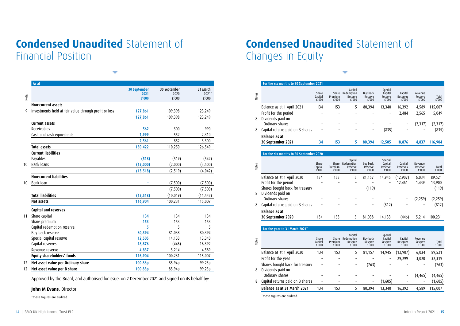### **Condensed Unaudited** Statement of Financial Position

|       | As at                                                 |                     |              |           |
|-------|-------------------------------------------------------|---------------------|--------------|-----------|
|       |                                                       | <b>30 September</b> | 30 September | 31 March  |
| Notes |                                                       | 2021                | 2020         | $2021*$   |
|       |                                                       | £'000               | £'000        | £'000     |
|       | <b>Non-current assets</b>                             |                     |              |           |
| 9     | Investments held at fair value through profit or loss | 127,861             | 109,398      | 123,249   |
|       |                                                       | 127,861             | 109,398      | 123,249   |
|       | <b>Current assets</b>                                 |                     |              |           |
|       | Receivables                                           | 562                 | 300          | 990       |
|       | Cash and cash equivalents                             | 1,999               | 552          | 2,310     |
|       |                                                       | 2,561               | 852          | 3,300     |
|       | <b>Total assets</b>                                   | 130,422             | 110,250      | 126,549   |
|       | <b>Current liabilities</b>                            |                     |              |           |
|       | Payables                                              | (518)               | (519)        | (542)     |
| 10    | Bank loans                                            | (13,000)            | (2,000)      | (3,500)   |
|       |                                                       | (13, 518)           | (2, 519)     | (4,042)   |
|       | <b>Non-current liabilities</b>                        |                     |              |           |
| 10    | Bank loan                                             |                     | (7,500)      | (7,500)   |
|       |                                                       |                     | (7,500)      | (7,500)   |
|       | <b>Total liabilities</b>                              | (13, 518)           | (10, 019)    | (11, 542) |
|       | <b>Net assets</b>                                     | 116,904             | 100,231      | 115,007   |
|       | Capital and reserves                                  |                     |              |           |
| 11    | Share capital                                         | 134                 | 134          | 134       |
|       | Share premium                                         | 153                 | 153          | 153       |
|       | Capital redemption reserve                            | 5                   | 5            | 5         |
|       | Buy back reserve                                      | 80,394              | 81,038       | 80,394    |
|       | Special capital reserve                               | 12,505              | 14,133       | 13,340    |
|       | Capital reserves                                      | 18,876              | (446)        | 16,392    |
|       | Revenue reserve                                       | 4,837               | 5,214        | 4,589     |
|       | Equity shareholders' funds                            | 116,904             | 100,231      | 115,007   |
| 12    | Net asset value per Ordinary share                    | 100.88p             | 85.94p       | 99.25p    |
| 12    | Net asset value per B share                           | 100.88p             | 85.94p       | 99.25p    |

Approved by the Board, and authorised for issue, on 2 December 2021 and signed on its behalf by:

#### **John M Evans,** Director

\*these figures are audited.

### **Condensed Unaudited** Statement of Changes in Equity

|       | For the six months to 30 September 2021 |                           |                           |                                                 |                              |                                        |                                     |                             |                |
|-------|-----------------------------------------|---------------------------|---------------------------|-------------------------------------------------|------------------------------|----------------------------------------|-------------------------------------|-----------------------------|----------------|
| Notes |                                         | Share<br>Capital<br>£'000 | Premium<br>f'000          | Capital<br>Share Redemption<br>Reserve<br>f'000 | Buy back<br>Reserve<br>f'000 | Special<br>Capital<br>Reserve<br>f'000 | Capital<br><b>Reserves</b><br>f'000 | Revenue<br>Reserve<br>f'000 | Total<br>f'000 |
|       | Balance as at 1 April 2021              | 134                       | 153                       | 5                                               | 80,394                       | 13,340                                 | 16,392                              | 4,589                       | 115,007        |
|       | Profit for the period                   |                           |                           |                                                 |                              |                                        | 2,484                               | 2,565                       | 5,049          |
| 8     | Dividends paid on                       |                           |                           |                                                 |                              |                                        |                                     |                             |                |
|       | Ordinary shares                         |                           |                           |                                                 |                              |                                        |                                     | (2,317)                     | (2,317)        |
| 8     | Capital returns paid on B shares        |                           |                           |                                                 |                              | (835)                                  |                                     |                             | (835)          |
|       | <b>Balance as at</b>                    |                           |                           |                                                 |                              |                                        |                                     |                             |                |
|       | 30 September 2021                       | 134                       | 153                       | 5                                               | 80,394                       | 12,505                                 | 18,876                              | 4,837                       | 116,904        |
|       |                                         |                           |                           |                                                 |                              |                                        |                                     |                             |                |
|       | For the six months to 30 September 2020 |                           |                           |                                                 |                              |                                        |                                     |                             |                |
|       |                                         |                           |                           |                                                 |                              |                                        |                                     |                             |                |
| Notes |                                         | Share<br>Capital<br>£'000 | Share<br>Premium<br>£'000 | Capital<br>Redemption<br>Reserve<br>£'000       | Buy back<br>Reserve<br>£'000 | Special<br>Capital<br>Reserve<br>£'000 | Capital<br><b>Reserves</b><br>£'000 | Revenue<br>Reserve<br>£'000 | Total<br>£'000 |
|       | Balance as at 1 April 2020              | 134                       | 153                       | 5                                               | 81,157                       | 14,945                                 | (12,907)                            | 6,034                       | 89,521         |
|       | Profit for the period                   |                           |                           |                                                 |                              |                                        | 12,461                              | 1,439                       | 13,900         |
|       | Shares bought back for treasury         |                           |                           | $\qquad \qquad$                                 | (119)                        |                                        |                                     |                             | (119)          |
| 8     | Dividends paid on                       |                           |                           |                                                 |                              |                                        |                                     |                             |                |
|       | Ordinary shares                         |                           |                           |                                                 |                              |                                        |                                     | (2,259)                     | (2,259)        |
| 8     | Capital returns paid on B shares        | -                         | ۳                         |                                                 | -                            | (812)                                  |                                     |                             | (812)          |
|       | <b>Balance as at</b>                    |                           |                           |                                                 |                              |                                        |                                     |                             |                |
|       | 30 September 2020                       | 134                       | 153                       | 5.                                              | 81,038                       | 14,133                                 | (446)                               | 5,214                       | 100,231        |
|       |                                         |                           |                           |                                                 |                              |                                        |                                     |                             |                |
|       | For the year to 31 March 2021"          |                           |                           |                                                 |                              |                                        |                                     |                             |                |

| Notes |                                  | Share<br>Capital<br>f'000 | Share<br>Premium<br>f'000 | Capital<br>Redemption<br>Reserve<br>£'000 | Buy back<br>Reserve<br>£'000 | Special<br>Capital<br>Reserve<br>£'000 | Capital<br>Reserves<br>£'000 | Revenue<br>Reserve<br>£'000 | Total<br>£'000 |
|-------|----------------------------------|---------------------------|---------------------------|-------------------------------------------|------------------------------|----------------------------------------|------------------------------|-----------------------------|----------------|
|       | Balance as at 1 April 2020       | 134                       | 153                       | 5                                         | 81,157                       | 14,945                                 | (12, 907)                    | 6,034                       | 89,521         |
|       | Profit for the year              |                           |                           |                                           |                              | -                                      | 29,299                       | 3,020                       | 32,319         |
|       | Shares bought back for treasury  | -                         |                           |                                           | (763)                        |                                        |                              |                             | (763)          |
| 8     | Dividends paid on                |                           |                           |                                           |                              |                                        |                              |                             |                |
|       | Ordinary shares                  |                           |                           |                                           |                              |                                        |                              | (4, 465)                    | (4,465)        |
| 8     | Capital returns paid on B shares |                           |                           |                                           |                              | (1,605)                                |                              |                             | (1,605)        |
|       | Balance as at 31 March 2021      | 134                       | 153                       | 5                                         | 80.394                       | 13,340                                 | 16,392                       | 4.589                       | 115.007        |
|       |                                  |                           |                           |                                           |                              |                                        |                              |                             |                |

\*these figures are audited.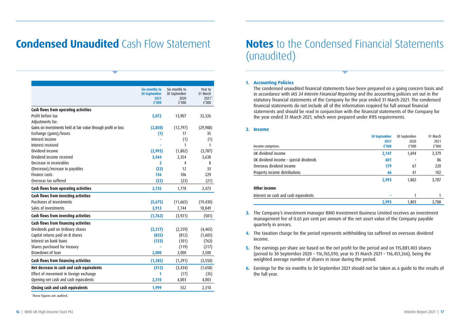### **Condensed Unaudited** Cash Flow Statement

|                                                                | Six months to               | Six months to        | Year to             |
|----------------------------------------------------------------|-----------------------------|----------------------|---------------------|
|                                                                | <b>30 September</b><br>2021 | 30 September<br>2020 | 31 March<br>$2021*$ |
|                                                                | £'000                       | f'000                | f'000               |
| Cash flows from operating activities                           |                             |                      |                     |
| Profit before tax                                              | 5,072                       | 13,907               | 32,326              |
| Adjustments for:                                               |                             |                      |                     |
| Gains on investments held at fair value through profit or loss | (2,850)                     | (12, 797)            | (29, 988)           |
| Exchange (gains)/losses                                        | (1)                         | 17                   | 35                  |
| Interest income                                                |                             | (1)                  | (1)                 |
| Interest received                                              |                             | 1                    | 1                   |
| Dividend income                                                | (2,993)                     | (1,802)              | (3, 787)            |
| Dividend income received                                       | 3,444                       | 2,354                | 3,638               |
| Decrease in receivables                                        | 2                           | 4                    | 8                   |
| (Decrease)/increase in payables                                | (23)                        | 12                   | 33                  |
| <b>Finance costs</b>                                           | 136                         | 106                  | 229                 |
| Overseas tax suffered                                          | (52)                        | (23)                 | (21)                |
| Cash flows from operating activities                           | 2,735                       | 1,778                | 2,473               |
| Cash flows from investing activities                           |                             |                      |                     |
| Purchases of investments                                       | (5,675)                     | (11,665)             | (19, 430)           |
| Sales of investments                                           | 3,913                       | 7,744                | 18,849              |
| Cash flows from investing activities                           | (1, 762)                    | (3, 921)             | (581)               |
| Cash flows from financing activities                           |                             |                      |                     |
| Dividends paid on Ordinary shares                              | (2,317)                     | (2,259)              | (4, 465)            |
| Capital returns paid on B shares                               | (835)                       | (812)                | (1,605)             |
| Interest on bank loans                                         | (133)                       | (101)                | (763)               |
| Shares purchased for treasury                                  |                             | (119)                | (217)               |
| Drawdown of loan                                               | 2,000                       | 2,000                | 3,500               |
| Cash flows from financing activities                           | (1, 285)                    | (1, 291)             | (3, 550)            |
| Net decrease in cash and cash equivalents                      | (312)                       | (3, 434)             | (1,658)             |
| Effect of movement in foreign exchange                         | 1                           | (17)                 | (35)                |
| Opening net cash and cash equivalents                          | 2,310                       | 4,003                | 4,003               |
| Closing cash and cash equivalents                              | 1,999                       | 552                  | 2,310               |
|                                                                |                             |                      |                     |

\*these figures are audited.

#### **1. Accounting Policies**

The condensed unaudited financial statements have been prepared on a going concern basis and in accordance with *IAS 34 Interim Financial Reporting* and the accounting policies set out in the statutory financial statements of the Company for the year ended 31 March 2021. The condensed financial statements do not include all of the information required for full annual financial statements and should be read in conjunction with the financial statements of the Company for the year ended 31 March 2021, which were prepared under IFRS requirements.

#### **2. Income**

|                                        | <b>30 September</b> | 30 September | 31 March |
|----------------------------------------|---------------------|--------------|----------|
|                                        | 2021                | 2020         | 2021     |
| Income comprises:                      | £'000               | £'000        | £'000    |
| UK dividend income                     | 2,147               | 1,694        | 3,379    |
| UK dividend income - special dividends | 601                 |              | 86       |
| Overseas dividend income               | 179                 | 67           | 220      |
| Property income distributions          | 66                  | 41           | 102      |
|                                        | 2,993               | 1,802        | 3,787    |
| Other income                           |                     |              |          |
| Interest on cash and cash equivalents  |                     |              |          |
|                                        | 2,993               | 1.803        | 3,788    |

- **3.** The Company's investment manager BMO Investment Business Limited receives an investment management fee of 0.65 per cent per annum of the net asset value of the Company payable quarterly in arrears.
- **4.** The taxation charge for the period represents withholding tax suffered on overseas dividend income.
- **5.** The earnings per share are based on the net profit for the period and on 115,881,403 shares (period to 30 September 2020 – 116,765,010; year to 31 March 2021 – 116,451,266), being the weighted average number of shares in issue during the period.
- **6.** Earnings for the six months to 30 September 2021 should not be taken as a guide to the results of the full year.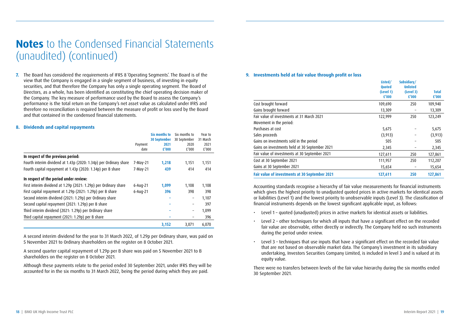### **Notes** to the Condensed Financial Statements (unaudited) (continued)

**7.** The Board has considered the requirements of IFRS 8 'Operating Segments'. The Board is of the view that the Company is engaged in a single segment of business, of investing in equity securities, and that therefore the Company has only a single operating segment. The Board of Directors, as a whole, has been identified as constituting the chief operating decision maker of the Company. The key measure of performance used by the Board to assess the Company's performance is the total return on the Company's net asset value as calculated under IFRS and therefore no reconciliation is required between the measure of profit or loss used by the Board and that contained in the condensed financial statements.

#### **8. Dividends and capital repayments**

|                                                                   |              | Six months to | Six months to     | Year to  |
|-------------------------------------------------------------------|--------------|---------------|-------------------|----------|
|                                                                   |              | 30 September  | 30 September      | 31 March |
|                                                                   | Payment      | 2021          | 2020              | 2021     |
|                                                                   | date         | £'000         | £'000             | £'000    |
| In respect of the previous period:                                |              |               |                   |          |
| Fourth interim dividend at 1.43p (2020: 1.34p) per Ordinary share | 7-May-21     | 1,218         | 1,151             | 1,151    |
| Fourth capital repayment at 1.43p (2020: 1.34p) per B share       | 7-May-21     | 439           | 414               | 414      |
| In respect of the period under review:                            |              |               |                   |          |
| First interim dividend at 1.29p (2021: 1.29p) per Ordinary share  | $6 - Aug-21$ | 1,099         | 1,108             | 1,108    |
| First capital repayment at 1.29p (2021: 1.29p) per B share        | $6 - Aug-21$ | 396           | 398               | 398      |
| Second interim dividend (2021: 1.29p) per Ordinary share          |              |               | -                 | 1,107    |
| Second capital repayment (2021: 1.29p) per B share                |              |               | $\qquad \qquad -$ | 397      |
| Third interim dividend (2021: 1.29p) per Ordinary share           |              |               | -                 | 1.099    |
| Third capital repayment (2021: 1.29p) per B share                 |              |               |                   | 396      |
|                                                                   |              | 3,152         | 3.071             | 6,070    |

A second interim dividend for the year to 31 March 2022, of 1.29p per Ordinary share, was paid on 5 November 2021 to Ordinary shareholders on the register on 8 October 2021.

A second quarter capital repayment of 1.29p per B share was paid on 5 November 2021 to B shareholders on the register on 8 October 2021.

Although these payments relate to the period ended 30 September 2021, under IFRS they will be accounted for in the six months to 31 March 2022, being the period during which they are paid.

#### **9. Investments held at fair value through profit or loss**

|                                                | Listed/<br><b>Ouoted</b> | Subsidiary/<br><b>Unlisted</b> |                       |
|------------------------------------------------|--------------------------|--------------------------------|-----------------------|
|                                                | (Level 1)<br>£'000       | (Level 3)<br>£'000             | <b>Total</b><br>£'000 |
| Cost brought forward                           | 109,690                  | 250                            | 109,940               |
| Gains brought forward                          | 13,309                   |                                | 13,309                |
| Fair value of investments at 31 March 2021     | 122,999                  | 250                            | 123,249               |
| Movement in the period:                        |                          |                                |                       |
| Purchases at cost                              | 5,675                    |                                | 5,675                 |
| Sales proceeds                                 | (3, 913)                 |                                | (3, 913)              |
| Gains on investments sold in the period        | 505                      |                                | 505                   |
| Gains on investments held at 30 September 2021 | 2,345                    | -                              | 2,345                 |
| Fair value of investments at 30 September 2021 | 127,611                  | 250                            | 127,861               |
| Cost at 30 September 2021                      | 111,957                  | 250                            | 112,207               |
| Gains at 30 September 2021                     | 15,654                   | -                              | 15,654                |
| Fair value of investments at 30 September 2021 | 127,611                  | 250                            | 127,861               |

Accounting standards recognise a hierarchy of fair value measurements for financial instruments which gives the highest priority to unadjusted quoted prices in active markets for identical assets or liabilities (Level 1) and the lowest priority to unobservable inputs (Level 3). The classification of financial instruments depends on the lowest significant applicable input, as follows:

- Level 1 quoted (unadjusted) prices in active markets for identical assets or liabilities.
- Level 2 other techniques for which all inputs that have a significant effect on the recorded fair value are observable, either directly or indirectly. The Company held no such instruments during the period under review.
- Level 3 techniques that use inputs that have a significant effect on the recorded fair value that are not based on observable market data. The Company's investment in its subsidiary undertaking, Investors Securities Company Limited, is included in level 3 and is valued at its equity value.

There were no transfers between levels of the fair value hierarchy during the six months ended 30 September 2021.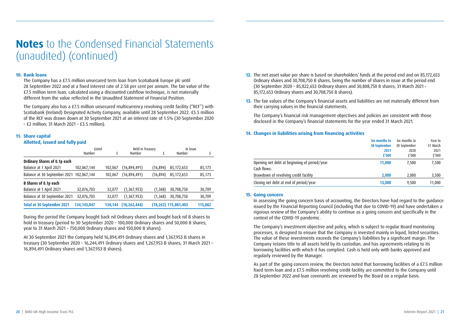### **Notes** to the Condensed Financial Statements (unaudited) (continued)

#### **10. Bank loans**

The Company has a £7.5 million unsecured term loan from Scotiabank Europe plc until 28 September 2022 and at a fixed interest rate of 2.58 per cent per annum. The fair value of the £7.5 million term loan, calculated using a discounted cashflow technique, is not materially different from the value reflected in the Unaudited Statement of Financial Position.

The Company also has a £7.5 million unsecured multicurrency revolving credit facility ("RCF") with Scotiabank (Ireland) Designated Activity Company, available until 28 September 2022. £5.5 million of the RCF was drawn down at 30 September 2021 at an interest rate of 1.5% (30 September 2020 – £2 million; 31 March 2021 – £3.5 million).

#### **11. Share capital**

#### **Allotted, issued and fully paid**

|                                   | Listed        |         | Held in Treasury |           | In Issue                |         |  |
|-----------------------------------|---------------|---------|------------------|-----------|-------------------------|---------|--|
|                                   | Number        | £       | Number           | £         | Number                  | £       |  |
| Ordinary Shares of 0.1p each      |               |         |                  |           |                         |         |  |
| Balance at 1 April 2021           | 102,067,144   | 102,067 | (16,894,491)     | (16, 894) | 85,172,653              | 85,173  |  |
| Balance at 30 September 2021      | 102.067.144   | 102.067 | (16,894,491)     | (16,894)  | 85,172,653              | 85,173  |  |
| <b>B Shares of 0.1p each</b>      |               |         |                  |           |                         |         |  |
| Balance at 1 April 2021           | 32,076,703    | 32,077  | (1,367,953)      | (1,368)   | 30,708,750              | 30,709  |  |
| Balance at 30 September 2021      | 32,076,703    | 32.077  | (1,367,953)      | (1, 368)  | 30,708,750              | 30,709  |  |
| <b>Total at 30 September 2021</b> | 134, 143, 847 | 134.144 | (18, 262, 444)   |           | $(18, 262)$ 115,881,403 | 115,882 |  |

During the period the Company bought back nil Ordinary shares and bought back nil B shares to hold in treasury (period to 30 September 2020 - 100,000 Ordinary shares and 50,000 B shares; year to 31 March 2021 – 750,000 Ordinary shares and 150,000 B shares).

At 30 September 2021 the Company held 16,894,491 Ordinary shares and 1,367,953 B shares in treasury (30 September 2020 – 16,244,491 Ordinary shares and 1,267,953 B shares; 31 March 2021 – 16,894,491 Ordinary shares and 1,367,953 B shares).

- **12.** The net asset value per share is based on shareholders' funds at the period end and on 85,172,653 Ordinary shares and 30,708,750 B shares, being the number of shares in issue at the period end (30 September 2020 – 85,822,653 Ordinary shares and 30,808,750 B shares; 31 March 2021 – 85,172,653 Ordinary shares and 30,708,750 B shares).
- 13. The fair values of the Company's financial assets and liabilities are not materially different from their carrying values in the financial statements.

The Company's financial risk management objectives and policies are consistent with those disclosed in the Company's financial statements for the year ended 31 March 2021.

#### **14. Changes in liabilities arising from financing activities**

|                                              | Six months to | Six months to | Year to  |
|----------------------------------------------|---------------|---------------|----------|
|                                              | 30 September  | 30 September  | 31 March |
|                                              | 2021          | 2020          | 2021     |
|                                              | £'000         | f'000         | £'000    |
| Opening net debt at beginning of period/year | 11,000        | 7.500         | 7,500    |
| Cash flows:                                  |               |               |          |
| Drawdown of revolving credit facility        | 2,000         | 2.000         | 3,500    |
| Closing net debt at end of period/year       | 13,000        | 9,500         | 11,000   |

#### **15. Going concern**

In assessing the going concern basis of accounting, the Directors have had regard to the guidance issued by the Financial Reporting Council (including that due to COVID-19) and have undertaken a rigorous review of the Company's ability to continue as a going concern and specifically in the context of the COVID-19 pandemic.

The Company's investment objective and policy, which is subject to regular Board monitoring processes, is designed to ensure that the Company is invested mainly in liquid, listed securities. The value of these investments exceeds the Company's liabilities by a significant margin. The Company retains title to all assets held by its custodian, and has agreements relating to its borrowing facilities with which it has complied. Cash is held only with banks approved and regularly reviewed by the Manager.

As part of the going concern review, the Directors noted that borrowing facilities of a £7.5 million fixed term loan and a £7.5 million revolving credit facility are committed to the Company until 28 September 2022 and loan covenants are reviewed by the Board on a regular basis.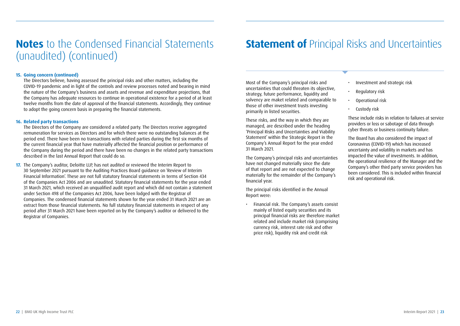### **Notes** to the Condensed Financial Statements **Statement of** Principal Risks and Uncertainties (unaudited) (continued)

#### **15. Going concern (continued)**

The Directors believe, having assessed the principal risks and other matters, including the COVID-19 pandemic and in light of the controls and review processes noted and bearing in mind the nature of the Company's business and assets and revenue and expenditure projections, that the Company has adequate resources to continue in operational existence for a period of at least twelve months from the date of approval of the financial statements. Accordingly, they continue to adopt the going concern basis in preparing the financial statements.

#### **16. Related party transactions**

The Directors of the Company are considered a related party. The Directors receive aggregated remuneration for services as Directors and for which there were no outstanding balances at the period end. There have been no transactions with related parties during the first six months of the current financial year that have materially affected the financial position or performance of the Company during the period and there have been no changes in the related party transactions described in the last Annual Report that could do so.

**17.** The Company's auditor, Deloitte LLP, has not audited or reviewed the Interim Report to 30 September 2021 pursuant to the Auditing Practices Board guidance on 'Review of Interim Financial Information'. These are not full statutory financial statements in terms of Section 434 of the Companies Act 2006 and are unaudited. Statutory financial statements for the year ended 31 March 2021, which received an unqualified audit report and which did not contain a statement under Section 498 of the Companies Act 2006, have been lodged with the Registrar of Companies. The condensed financial statements shown for the year ended 31 March 2021 are an extract from those financial statements. No full statutory financial statements in respect of any period after 31 March 2021 have been reported on by the Company's auditor or delivered to the Registrar of Companies.

Most of the Company's principal risks and uncertainties that could threaten its objective, strategy, future performance, liquidity and solvency are maket related and comparable to those of other investment trusts investing primarily in listed securities.

These risks, and the way in which they are managed, are described under the heading 'Principal Risks and Uncertainties and Viability Statement' within the Strategic Report in the Company's Annual Report for the year ended 31 March 2021.

The Company's principal risks and uncertainties have not changed materially since the date of that report and are not expected to change materially for the remainder of the Company's financial year.

The principal risks identified in the Annual Report were:

• Financial risk. The Company's assets consist mainly of listed equity securities and its principal financial risks are therefore market related and include market risk (comprising currency risk, interest rate risk and other price risk), liquidity risk and credit risk

- Investment and strategic risk
- Regulatory risk
- Operational risk
- Custody risk

These include risks in relation to failures at service providers or loss or sabotage of data through cyber threats or business continuity failure.

The Board has also considered the impact of Coronavirus (COVID-19) which has increased uncertainty and volatility in markets and has impacted the value of investments. In addition, the operational resilience of the Manager and the Company's other third party service providers has been considered. This is included within financial risk and operational risk.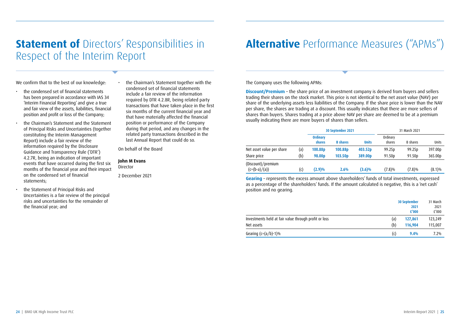### **Statement of Directors' Responsibilities in** Respect of the Interim Report

We confirm that to the best of our knowledge:

- the condensed set of financial statements has been prepared in accordance with IAS 34 'Interim Financial Reporting' and give a true and fair view of the assets, liabilities, financial position and profit or loss of the Company;
- the Chairman's Statement and the Statement of Principal Risks and Uncertainties (together constituting the Interim Management Report) include a fair review of the information required by the Disclosure Guidance and Transparency Rule ('DTR') 4.2.7R, being an indication of important events that have occurred during the first six months of the financial year and their impact on the condensed set of financial statements;
- the Statement of Principal Risks and Uncertainties is a fair review of the principal risks and uncertainties for the remainder of the financial year; and

• the Chairman's Statement together with the condensed set of financial statements include a fair review of the information required by DTR 4.2.8R, being related party transactions that have taken place in the first six months of the current financial year and that have materially affected the financial position or performance of the Company during that period, and any changes in the related party transactions described in the last Annual Report that could do so.

On behalf of the Board

#### **John M Evans**

Director

2 December 2021

## **Alternative** Performance Measures ("APMs")

The Company uses the following APMs:

**Discount/Premium** – the share price of an investment company is derived from buyers and sellers trading their shares on the stock market. This price is not identical to the net asset value (NAV) per share of the underlying assets less liabilities of the Company. If the share price is lower than the NAV per share, the shares are trading at a discount. This usually indicates that there are more sellers of shares than buyers. Shares trading at a price above NAV per share are deemed to be at a premium usually indicating there are more buyers of shares than sellers.

|                                       |     | 30 September 2021         |                     |                     |                    | 31 March 2021      |           |
|---------------------------------------|-----|---------------------------|---------------------|---------------------|--------------------|--------------------|-----------|
|                                       |     | <b>Ordinary</b><br>shares | <b>B</b> shares     | <b>Units</b>        | Ordinary<br>shares | <b>B</b> shares    | Units     |
| Net asset value per share             | (a) | 100.88p                   | 100.88 <sub>D</sub> | 403.52p             | 99.25 <sub>D</sub> | 99.25 <sub>D</sub> | 397.00p   |
| Share price                           | (b) | 98.00 <sub>D</sub>        | 103.50 <sub>p</sub> | 389.00 <sub>D</sub> | 91.50 <sub>p</sub> | 91.50 <sub>p</sub> | 365.00p   |
| (Discount)/premium<br>$(c=(b-a)/(a))$ | (c) | (2.9)%                    | 2.6%                | (3.6)%              | (7.8)%             | $(7.8)\%$          | $(8.1)\%$ |

**Gearing** – represents the excess amount above shareholders' funds of total investments, expressed as a percentage of the shareholders' funds. If the amount calculated is negative, this is a 'net cash' position and no gearing.

|                                                       | <b>30 September</b> | 2021<br>£'000 | 31 March<br>2021<br>£'000 |
|-------------------------------------------------------|---------------------|---------------|---------------------------|
| Investments held at fair value through profit or loss | (a)                 | 127,861       | 123,249                   |
| Net assets                                            | (b)                 | 116,904       | 115,007                   |
| Gearing $(c=(a/b)-1)\%$                               | (c)                 | 9.4%          | 7.2%                      |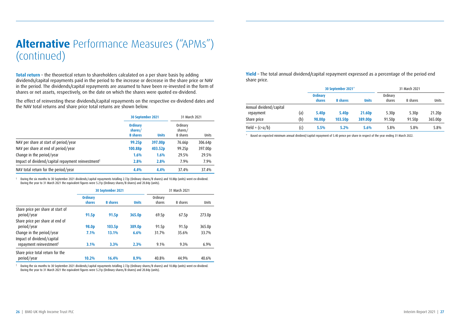## **Alternative** Performance Measures ("APMs") (continued)

**Total return** – the theoretical return to shareholders calculated on a per share basis by adding dividends/capital repayments paid in the period to the increase or decrease in the share price or NAV in the period. The dividends/capital repayments are assumed to have been re-invested in the form of shares or net assets, respectively, on the date on which the shares were quoted ex-dividend.

The effect of reinvesting these dividends/capital repayments on the respective ex-dividend dates and the NAV total returns and share price total returns are shown below.

|                                                                | 30 September 2021                             |              | 31 March 2021                          |         |
|----------------------------------------------------------------|-----------------------------------------------|--------------|----------------------------------------|---------|
|                                                                | <b>Ordinary</b><br>shares/<br><b>B</b> shares | <b>Units</b> | Ordinary<br>shares/<br><b>B</b> shares | Units   |
| NAV per share at start of period/year                          | 99.25 <sub>p</sub>                            | 397.00p      | 76.66p                                 | 306.64p |
| NAV per share at end of period/year                            | 100.88p                                       | 403.52p      | 99.25p                                 | 397.00p |
| Change in the period/year                                      | 1.6%                                          | 1.6%         | 29.5%                                  | 29.5%   |
| Impact of dividend/capital repayment reinvestment <sup>†</sup> | 2.8%                                          | 2.8%         | 7.9%                                   | 7.9%    |
| NAV total return for the period/year                           | 4.4%                                          | 4.4%         | 37.4%                                  | 37.4%   |

† During the six months to 30 September 2021 dividends/capital repayments totalling 2.72p (Ordinary shares/B shares) and 10.88p (units) went ex-dividend. During the year to 31 March 2021 the equivalent figures were 5.21p (Ordinary shares/B shares) and 20.84p (units).

|                                                         |                           | 30 September 2021 |              |                    | 31 March 2021     |        |
|---------------------------------------------------------|---------------------------|-------------------|--------------|--------------------|-------------------|--------|
|                                                         | <b>Ordinary</b><br>shares | <b>B</b> shares   | <b>Units</b> | Ordinarv<br>shares | <b>B</b> shares   | Units  |
| Share price per share at start of<br>period/year        | 91.5p                     | 91.5 <sub>p</sub> | 365.0p       | 69.5p              | 67.5p             | 273.0p |
| Share price per share at end of<br>period/year          | 98.0 <sub>p</sub>         | 103.5p            | 389.0p       | 91.5 <sub>p</sub>  | 91.5 <sub>p</sub> | 365.0p |
| Change in the period/year<br>Impact of dividend/capital | 7.1%                      | 13.1%             | 6.6%         | 31.7%              | 35.6%             | 33.7%  |
| repayment reinvestment <sup>†</sup>                     | 3.1%                      | 3.3%              | 2.3%         | $9.1\%$            | 9.3%              | 6.9%   |
| Share price total return for the<br>period/year         | 10.2%                     | 16.4%             | 8.9%         | 40.8%              | 44.9%             | 40.6%  |

† During the six months to 30 September 2021 dividends/capital repayments totalling 2.72p (Ordinary shares/B shares) and 10.88p (units) went ex-dividend. During the year to 31 March 2021 the equivalent figures were 5.21p (Ordinary shares/B shares) and 20.84p (units).

**Yield** - The total annual dividend/capital repayment expressed as a percentage of the period end share price.

|                                      |     |                           | 30 September 2021* |                     |                    | 31 March 2021      |         |
|--------------------------------------|-----|---------------------------|--------------------|---------------------|--------------------|--------------------|---------|
|                                      |     | <b>Ordinary</b><br>shares | <b>B</b> shares    | <b>Units</b>        | Ordinary<br>shares | <b>B</b> shares    | Units   |
| Annual dividend/capital<br>repayment | (a) | 5.40 <sub>p</sub>         | 5.40 <sub>p</sub>  | 21.60 <sub>p</sub>  | 5.30 <sub>D</sub>  | 5.30 <sub>p</sub>  | 21.20p  |
| Share price                          | (b) | 98.00 <sub>D</sub>        | 103.50p            | 389.00 <sub>p</sub> | 91.50 <sub>p</sub> | 91.50 <sub>p</sub> | 365.00p |
| Yield = $(c=a/b)$                    | (c) | 5.5%                      | 5.2%               | 5.6%                | 5.8%               | 5.8%               | 5.8%    |

\* Based on expected minimum annual dividend/capital repayment of 5.40 pence per share in respect of the year ending 31 March 2022.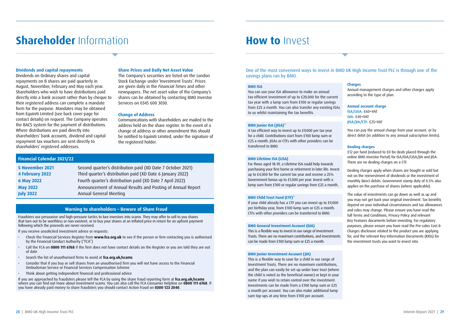### **Shareholder** Information

#### **Dividends and capital repayments**

Dividends on Ordinary shares and capital repayments on B shares are paid quarterly in August, November, February and May each year. Shareholders who wish to have distributions paid directly into a bank account rather than by cheque to their registered address can complete a mandate form for the purpose. Mandates may be obtained from Equiniti Limited (see back cover page for contact details) on request. The Company operates the BACS system for the payment of distributions. Where distributions are paid directly into shareholders' bank accounts, dividend and capital repayment tax vouchers are sent directly to shareholders' registered addresses.

#### **Share Prices and Daily Net Asset Value**

The Company's securities are listed on the London Stock Exchange under 'Investment Trusts'. Prices are given daily in the *Financial Times* and other newspapers. The net asset value of the Company's shares can be obtained by contacting BMO Investor Services on 0345 600 3030.

#### **Change of Address**

Communications with shareholders are mailed to the address held on the share register. In the event of a change of address or other amendment this should be notified to Equiniti Limited, under the signature of the registered holder.

#### **Financial Calendar 2021/22**

| 5 November 2021  | Second quarter's distribution paid (XD Date 7 October 2021) |
|------------------|-------------------------------------------------------------|
| 4 February 2022  | Third quarter's distribution paid (XD Date 6 January 2022)  |
| 6 May 2022       | Fourth quarter's distribution paid (XD Date 7 April 2022)   |
| <b>May 2022</b>  | Announcement of Annual Results and Posting of Annual Report |
| <b>July 2022</b> | Annual General Meeting                                      |

#### **Warning to shareholders – Beware of Share Fraud**

Fraudsters use persuasive and high-pressure tactics to lure investors into scams. They may offer to sell to you shares that turn out to be worthless or non-existent, or to buy your shares at an inflated price in return for an upfront payment following which the proceeds are never received.

#### If you receive unsolicited investment advice or requests:

- Check the Financial Services Register from **www.fca.org.uk** to see if the person or firm contacting you is authorised by the Financial Conduct Authority ("FCA")
- Call the FCA on **0800 111 6768** if the firm does not have contact details on the Register or you are told they are out of date
- Search the list of unauthorised firms to avoid at **fca.org.uk/scams**
- Consider that if you buy or sell shares from an unauthorised firm you will not have access to the Financial Ombudsman Service or Financial Services Compensation Scheme
- Think about getting independent financial and professional advice

If you are approached by fraudsters please tell the FCA by using the share fraud reporting form at **fca.org.uk/scams** where you can find out more about investment scams. You can also call the FCA Consumer Helpline on **0800 111 6768**. If you have already paid money to share fraudsters you should contact Action Fraud on **0300 123 2040**.

One of the most convenient ways to invest in BMO UK High Income Trust PLC is through one of the savings plans run by BMO.

#### **BMO ISA**

You can use your ISA allowance to make an annual tax-efficient investment of up to £20,000 for the current tax year with a lump sum from £100 or regular savings from £25 a month. You can also transfer any existing ISAs to us whilst maintaining the tax benefits.

#### **BMO Junior ISA (JISA)\***

**How to** Invest

A tax efficient way to invest up to £9,000 per tax year for a child. Contributions start from £100 lump sum or £25 a month. JISAs or CTFs with other providers can be transferred to BMO.

#### **BMO Lifetime ISA (LISA)**

For those aged 18-39, a Lifetime ISA could help towards purchasing your first home or retirement in later life. Invest up to £4,000 for the current tax year and receive a 25% Government bonus up to £1,000 per year. Invest with a lump sum from £100 or regular savings from £25 a month.

#### **BMO Child Trust Fund (CTF)\***

If your child already has a CTF you can invest up to £9,000 per birthday year, from £100 lump sum or £25 a month. CTFs with other providers can be transferred to BMO.

#### **BMO General Investment Account (GIA)**

This is a flexible way to invest in our range of Investment Trusts. There are no maximum contributions, and investments can be made from £100 lump sum or £25 a month.

#### **BMO Junior Investment Account (JIA)**

This is a flexible way to save for a child in our range of Investment Trusts. There are no maximum contributions, and the plan can easily be set up under bare trust (where the child is noted as the beneficial owner) or kept in your name if you wish to retain control over the investment. Investments can be made from a £100 lump sum or £25 a month per account. You can also make additional lump sum top-ups at any time from £100 per account.

**Charges**

Annual management charges and other charges apply according to the type of plan.

#### **Annual account charge**

ISA/LISA: £60+VAT GIA: £40+VAT JISA/JIA/CTF: £25+VAT

You can pay the annual charge from your account, or by direct debit (in addition to any annual subscription limits).

#### **Dealing charges**

£12 per fund (reduced to £0 for deals placed through the online BMO Investor Portal) for ISA/GIA/LISA/JIA and JISA. There are no dealing charges on a CTF.

Dealing charges apply when shares are bought or sold but not on the reinvestment of dividends or the investment of monthly direct debits. Government stamp duty of 0.5% also applies on the purchase of shares (where applicable).

The value of investments can go down as well as up and you may not get back your original investment. Tax benefits depend on your individual circumstances and tax allowances and rules may change. Please ensure you have read the full Terms and Conditions, Privacy Policy and relevant Key Features documents before investing. For regulatory purposes, please ensure you have read the Pre-sales Cost & Charges disclosure related to the product you are applying for, and the relevant Key Information Documents (KIDs) for the investment trusts you want to invest into.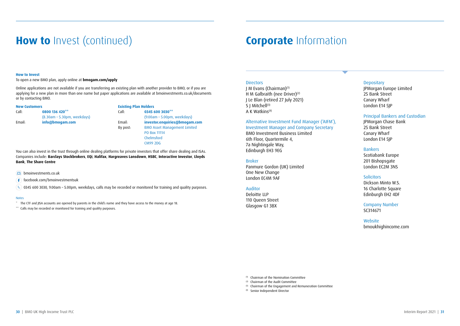### **How to** Invest (continued)

### **Corporate** Information

#### **How to Invest**

To open a new BMO plan, apply online at **bmogam.com/apply**

Online applications are not available if you are transferring an existing plan with another provider to BMO, or if you are applying for a new plan in more than one name but paper applications are available at bmoinvestments.co.uk/documents or by contacting BMO.

| <b>New Customers</b> |                             |
|----------------------|-----------------------------|
| Call:                | 0800 136 420**              |
|                      | (8.30am - 5.30pm, weekdays) |
| Email:               | info@bmogam.com             |

### **Existing Plan Holders**<br>Call: 03456

Call: **0800 136 420\*\*** Call: **0345 600 3030\*\*** (8.30am – 5.30pm, weekdays) (9.00am – 5.00pm, weekdays) Email: **info@bmogam.com** Email: **investor.enquiries@bmogam.com** By post: BMO Asset Management Limited PO Box 11114 Chelmsford CM99 2DG

You can also invest in the trust through online dealing platforms for private investors that offer share dealing and ISAs. Companies include: **Barclays Stockbrokers**, **EQi**, **Halifax**, **Hargreaves Lansdown**, **HSBC**, **Interactive Investor**, **Lloyds Bank**, **The Share Centre**

**bmoinvestments.co.uk** 

f facebook.com/bmoinvestmentsuk

 $\alpha$ 0345 600 3030, 9.00am – 5.00pm, weekdays, calls may be recorded or monitored for training and quality purposes.

#### Notes

\* The CTF and JISA accounts are opened by parents in the child's name and they have access to the money at age 18.

\*\* Calls may be recorded or monitored for training and quality purposes.

#### **Directors**

J M Evans (Chairman)(1) H M Galbraith (nee Driver)<sup>(2)</sup> J Le Blan (retired 27 July 2021) S I Mitchell<sup>(3)</sup> A K Watkins(4)

#### Alternative Investment Fund Manager ('AIFM'),

Investment Manager and Company Secretary BMO Investment Business Limited 6th Floor, Quartermile 4, 7a Nightingale Way, Edinburgh EH3 9EG

#### Broker

Panmure Gordon (UK) Limited One New Change London EC4M 9AF

#### Auditor

Deloitte LLP 110 Queen Street Glasgow G1 3BX

#### **Depositary**

JPMorgan Europe Limited 25 Bank Street Canary Wharf London E14 5JP

#### Principal Bankers and Custodian

JPMorgan Chase Bank 25 Bank Street Canary Wharf London E14 5JP

#### Bankers

Scotiabank Europe 201 Bishopsgate London EC2M 3NS

#### **Solicitors**

Dickson Minto W.S. 16 Charlotte Square Edinburgh EH2 4DF

Company Number SC314671

#### Website bmoukhighincome.com

(1) Chairman of the Nomination Committee

(2) Chairman of the Audit Committee

(3) Chairman of the Engagement and Remuneration Committee

(4) Senior Independent Director